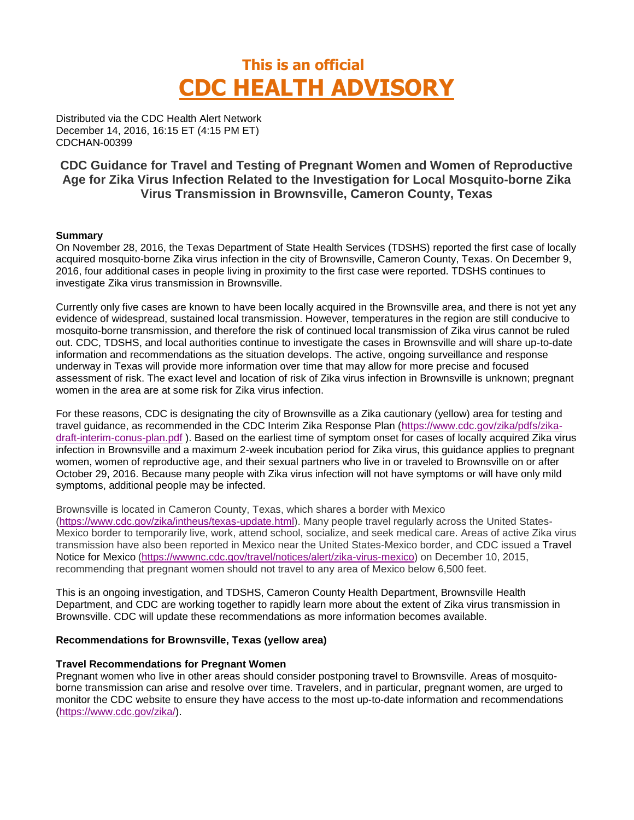# **This is an official CDC HEALTH ADVISORY**

Distributed via the CDC Health Alert Network December 14, 2016, 16:15 ET (4:15 PM ET) CDCHAN-00399

## **CDC Guidance for Travel and Testing of Pregnant Women and Women of Reproductive Age for Zika Virus Infection Related to the Investigation for Local Mosquito-borne Zika Virus Transmission in Brownsville, Cameron County, Texas**

### **Summary**

On November 28, 2016, the Texas Department of State Health Services (TDSHS) reported the first case of locally acquired mosquito-borne Zika virus infection in the city of Brownsville, Cameron County, Texas. On December 9, 2016, four additional cases in people living in proximity to the first case were reported. TDSHS continues to investigate Zika virus transmission in Brownsville.

Currently only five cases are known to have been locally acquired in the Brownsville area, and there is not yet any evidence of widespread, sustained local transmission. However, temperatures in the region are still conducive to mosquito-borne transmission, and therefore the risk of continued local transmission of Zika virus cannot be ruled out. CDC, TDSHS, and local authorities continue to investigate the cases in Brownsville and will share up-to-date information and recommendations as the situation develops. The active, ongoing surveillance and response underway in Texas will provide more information over time that may allow for more precise and focused assessment of risk. The exact level and location of risk of Zika virus infection in Brownsville is unknown; pregnant women in the area are at some risk for Zika virus infection.

For these reasons, CDC is designating the city of Brownsville as a Zika cautionary (yellow) area for testing and travel guidance, as recommended in the CDC Interim Zika Response Plan [\(https://www.cdc.gov/zika/pdfs/zika](https://www.cdc.gov/zika/pdfs/zika-draft-interim-conus-plan.pdf)[draft-interim-conus-plan.pdf](https://www.cdc.gov/zika/pdfs/zika-draft-interim-conus-plan.pdf) ). Based on the earliest time of symptom onset for cases of locally acquired Zika virus infection in Brownsville and a maximum 2-week incubation period for Zika virus, this guidance applies to pregnant women, women of reproductive age, and their sexual partners who live in or traveled to Brownsville on or after October 29, 2016. Because many people with Zika virus infection will not have symptoms or will have only mild symptoms, additional people may be infected.

Brownsville is located in Cameron County, Texas, which shares a border with Mexico [\(https://www.cdc.gov/zika/intheus/texas-update.html\)](https://www.cdc.gov/zika/intheus/texas-update.html). Many people travel regularly across the United States-Mexico border to temporarily live, work, attend school, socialize, and seek medical care. Areas of active Zika virus transmission have also been reported in Mexico near the United States-Mexico border, and CDC issued a Travel Notice for Mexico [\(https://wwwnc.cdc.gov/travel/notices/alert/zika-virus-mexico\)](https://wwwnc.cdc.gov/travel/notices/alert/zika-virus-mexico) on December 10, 2015, recommending that pregnant women should not travel to any area of Mexico below 6,500 feet.

This is an ongoing investigation, and TDSHS, Cameron County Health Department, Brownsville Health Department, and CDC are working together to rapidly learn more about the extent of Zika virus transmission in Brownsville. CDC will update these recommendations as more information becomes available.

#### **Recommendations for Brownsville, Texas (yellow area)**

#### **Travel Recommendations for Pregnant Women**

Pregnant women who live in other areas should consider postponing travel to Brownsville. Areas of mosquitoborne transmission can arise and resolve over time. Travelers, and in particular, pregnant women, are urged to monitor the CDC website to ensure they have access to the most up-to-date information and recommendations [\(https://www.cdc.gov/zika/\)](https://www.cdc.gov/zika/).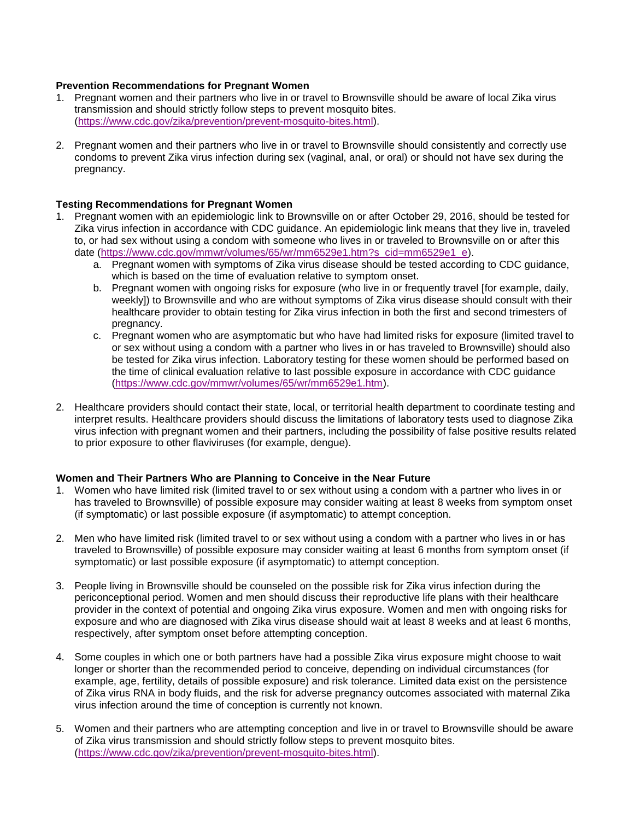### **Prevention Recommendations for Pregnant Women**

- 1. Pregnant women and their partners who live in or travel to Brownsville should be aware of local Zika virus transmission and should strictly follow steps to prevent mosquito bites. [\(https://www.cdc.gov/zika/prevention/prevent-mosquito-bites.html\)](https://www.cdc.gov/zika/prevention/prevent-mosquito-bites.html).
- 2. Pregnant women and their partners who live in or travel to Brownsville should consistently and correctly use condoms to prevent Zika virus infection during sex (vaginal, anal, or oral) or should not have sex during the pregnancy.

### **Testing Recommendations for Pregnant Women**

- 1. Pregnant women with an epidemiologic link to Brownsville on or after October 29, 2016, should be tested for Zika virus infection in accordance with CDC guidance. An epidemiologic link means that they live in, traveled to, or had sex without using a condom with someone who lives in or traveled to Brownsville on or after this date [\(https://www.cdc.gov/mmwr/volumes/65/wr/mm6529e1.htm?s\\_cid=mm6529e1\\_e\)](https://www.cdc.gov/mmwr/volumes/65/wr/mm6529e1.htm?s_cid=mm6529e1_e).
	- a. Pregnant women with symptoms of Zika virus disease should be tested according to CDC guidance, which is based on the time of evaluation relative to symptom onset.
	- b. Pregnant women with ongoing risks for exposure (who live in or frequently travel [for example, daily, weekly]) to Brownsville and who are without symptoms of Zika virus disease should consult with their healthcare provider to obtain testing for Zika virus infection in both the first and second trimesters of pregnancy.
	- c. Pregnant women who are asymptomatic but who have had limited risks for exposure (limited travel to or sex without using a condom with a partner who lives in or has traveled to Brownsville) should also be tested for Zika virus infection. Laboratory testing for these women should be performed based on the time of clinical evaluation relative to last possible exposure in accordance with CDC guidance [\(https://www.cdc.gov/mmwr/volumes/65/wr/mm6529e1.htm\)](https://www.cdc.gov/mmwr/volumes/65/wr/mm6529e1.htm).
- 2. Healthcare providers should contact their state, local, or territorial health department to coordinate testing and interpret results. Healthcare providers should discuss the limitations of laboratory tests used to diagnose Zika virus infection with pregnant women and their partners, including the possibility of false positive results related to prior exposure to other flaviviruses (for example, dengue).

#### **Women and Their Partners Who are Planning to Conceive in the Near Future**

- 1. Women who have limited risk (limited travel to or sex without using a condom with a partner who lives in or has traveled to Brownsville) of possible exposure may consider waiting at least 8 weeks from symptom onset (if symptomatic) or last possible exposure (if asymptomatic) to attempt conception.
- 2. Men who have limited risk (limited travel to or sex without using a condom with a partner who lives in or has traveled to Brownsville) of possible exposure may consider waiting at least 6 months from symptom onset (if symptomatic) or last possible exposure (if asymptomatic) to attempt conception.
- 3. People living in Brownsville should be counseled on the possible risk for Zika virus infection during the periconceptional period. Women and men should discuss their reproductive life plans with their healthcare provider in the context of potential and ongoing Zika virus exposure. Women and men with ongoing risks for exposure and who are diagnosed with Zika virus disease should wait at least 8 weeks and at least 6 months, respectively, after symptom onset before attempting conception.
- 4. Some couples in which one or both partners have had a possible Zika virus exposure might choose to wait longer or shorter than the recommended period to conceive, depending on individual circumstances (for example, age, fertility, details of possible exposure) and risk tolerance. Limited data exist on the persistence of Zika virus RNA in body fluids, and the risk for adverse pregnancy outcomes associated with maternal Zika virus infection around the time of conception is currently not known.
- 5. Women and their partners who are attempting conception and live in or travel to Brownsville should be aware of Zika virus transmission and should strictly follow steps to prevent mosquito bites. [\(https://www.cdc.gov/zika/prevention/prevent-mosquito-bites.html\)](https://www.cdc.gov/zika/prevention/prevent-mosquito-bites.html).